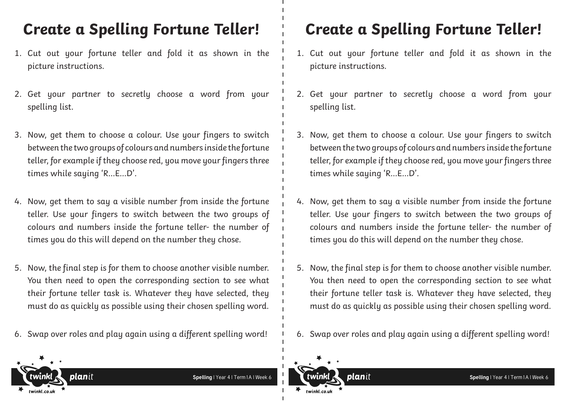- 1. Cut out your fortune teller and fold it as shown in the picture instructions.
- 2. Get your partner to secretly choose a word from your spelling list.
- 3. Now, get them to choose a colour. Use your fingers to switch between the two groups of colours and numbers inside the fortune teller, for example if they choose red, you move your fingers three times while saying 'R…E…D'.
- 4. Now, get them to say a visible number from inside the fortune teller. Use your fingers to switch between the two groups of colours and numbers inside the fortune teller- the number of times you do this will depend on the number they chose.
- 5. Now, the final step is for them to choose another visible number. You then need to open the corresponding section to see what their fortune teller task is. Whatever they have selected, they must do as quickly as possible using their chosen spelling word.
- 6. Swap over roles and play again using a different spelling word!

### **Create a Spelling Fortune Teller! Create a Spelling Fortune Teller!**

- 1. Cut out your fortune teller and fold it as shown in the picture instructions.
- 2. Get your partner to secretly choose a word from your spelling list.
- 3. Now, get them to choose a colour. Use your fingers to switch between the two groups of colours and numbers inside the fortune teller, for example if they choose red, you move your fingers three times while saying 'R…E…D'.
- 4. Now, get them to say a visible number from inside the fortune teller. Use your fingers to switch between the two groups of colours and numbers inside the fortune teller- the number of times you do this will depend on the number they chose.
- 5. Now, the final step is for them to choose another visible number. You then need to open the corresponding section to see what their fortune teller task is. Whatever they have selected, they must do as quickly as possible using their chosen spelling word.
- 6. Swap over roles and play again using a different spelling word!

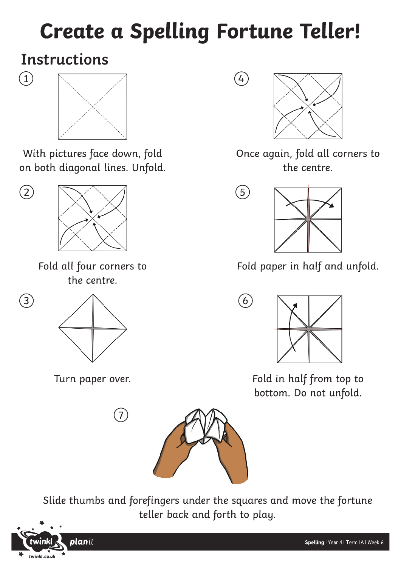## **Create a Spelling Fortune Teller!**

 $4$ 

 $\circledS$ 

## **Instructions**

 $\textcircled{\scriptsize{1}}$ 

 $\bigcirc$ 



With pictures face down, fold on both diagonal lines. Unfold.

 $\circled{2}$ 

Fold all four corners to the centre.



Turn paper over.

 $\boxed{7}$ 



Once again, fold all corners to the centre.



Fold paper in half and unfold.



Fold in half from top to bottom. Do not unfold.



Slide thumbs and forefingers under the squares and move the fortune teller back and forth to play.